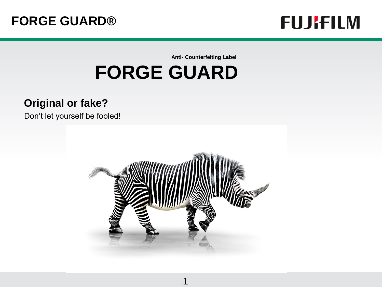

**Anti- Counterfeiting Label**

# **FORGE GUARD**

#### **Original or fake?**

Don't let yourself be fooled!



1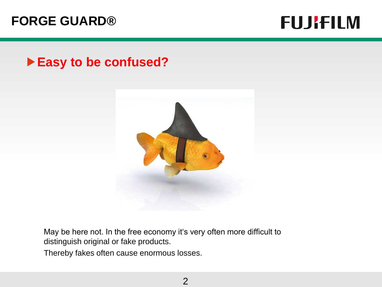### **FUJIFILM**

#### **Easy to be confused?**



May be here not. In the free economy it's very often more difficult to distinguish original or fake products.

Thereby fakes often cause enormous losses.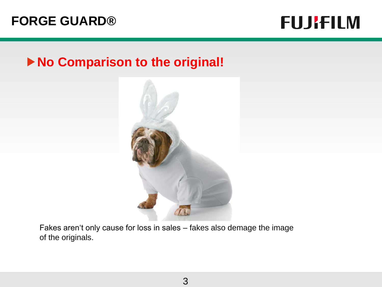### **FUJIFILM**

#### **No Comparison to the original!**



Fakes aren't only cause for loss in sales – fakes also demage the image of the originals.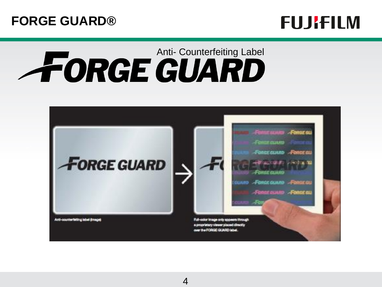

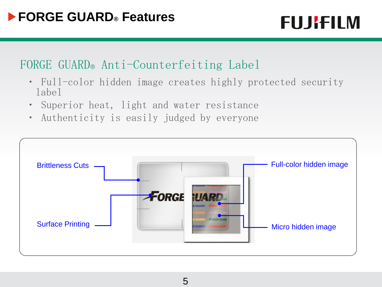## **FUJIFILM**

#### FORGE GUARD® Anti-Counterfeiting Label

- ・ Full-color hidden image creates highly protected security label
- ・ Superior heat, light and water resistance
- ・ Authenticity is easily judged by everyone

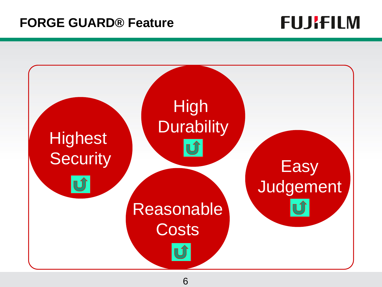### **FORGE GUARD® Feature**

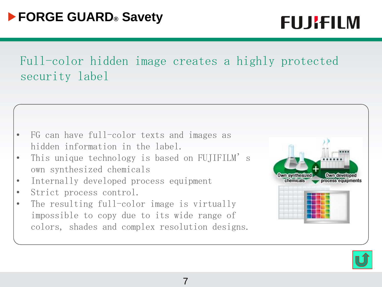## **FUJRFILM**

Full-color hidden image creates a highly protected security label

- FG can have full-color texts and images as hidden information in the label.
- This unique technology is based on FUJIFILM's own synthesized chemicals
- Internally developed process equipment
- Strict process control.
- The resulting full-color image is virtually impossible to copy due to its wide range of colors, shades and complex resolution designs.



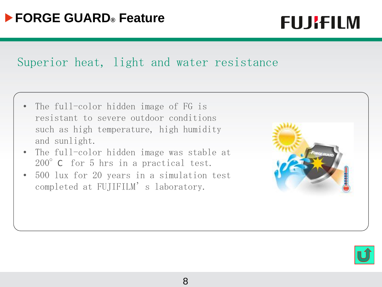## **FUJRFILM**

#### Superior heat, light and water resistance

- The full-color hidden image of FG is resistant to severe outdoor conditions such as high temperature, high humidity and sunlight.
- The full-color hidden image was stable at 200°C for 5 hrs in a practical test.
- 500 lux for 20 years in a simulation test completed at FUJIFILM's laboratory.



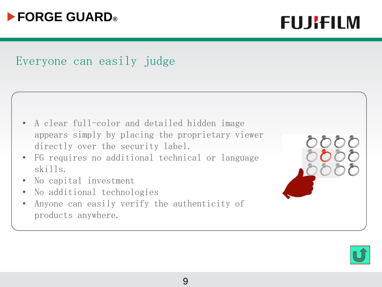

**FUJIFILM** 

#### Everyone can easily judge

| • A clear full-color and detailed hidden image   |
|--------------------------------------------------|
| appears simply by placing the proprietary viewer |
| directly over the security label.                |

- FG requires no additional technical or language skills.
- No capital investment
- No additional technologies
- Anyone can easily verify the authenticity of products anywhere.

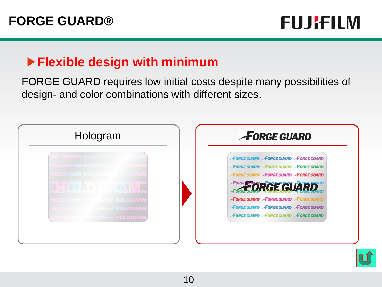## **FUJIFILM**

### **Flexible design with minimum**

FORGE GUARD requires low initial costs despite many possibilities of design- and color combinations with different sizes.



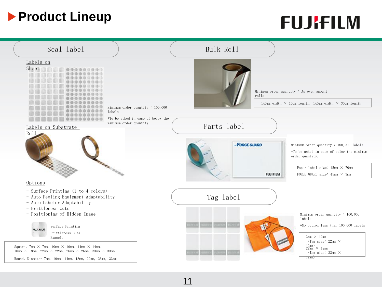### **Product Lineup**

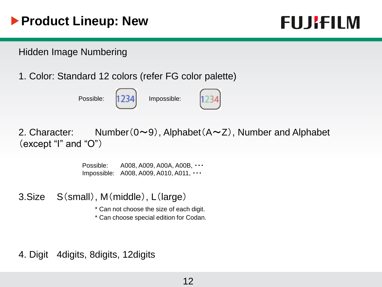### **Product Lineup: New**

### **FUJRFILM**

#### Hidden Image Numbering

1. Color: Standard 12 colors (refer FG color palette)

Possible: 1234 Impossible:





2. Character: Number( $0 \sim 9$ ), Alphabet( $A \sim Z$ ), Number and Alphabet  $(except "I" and "O")$ 

> Possible: A008, A009, A00A, A00B, ・・・ Impossible: A008, A009, A010, A011, ・・・

3.Size S(small), M(middle), L(large)

\* Can not choose the size of each digit.

\* Can choose special edition for Codan.

4. Digit 4digits, 8digits, 12digits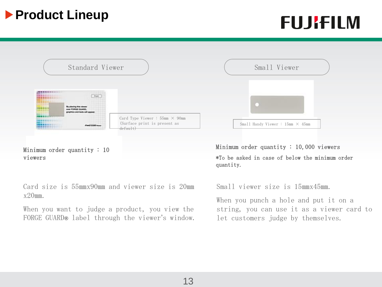### **Product Lineup**

## **FUJRFILM**



Minimum order quantity : 10 viewers

Card size is 55㎜x90㎜ and viewer size is 20㎜ x20㎜.

When you want to judge a product, you view the FORGE GUARD**®** label through the viewer's window. Minimum order quantity : 10,000 viewers \*To be asked in case of below the minimum order quantity.

Small viewer size is 15㎜x45㎜.

When you punch a hole and put it on a string, you can use it as a viewer card to let customers judge by themselves.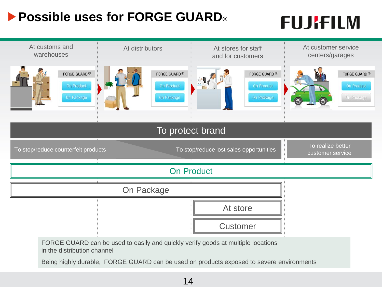### **Possible uses for FORGE GUARD®**

# **FUJRFILM**

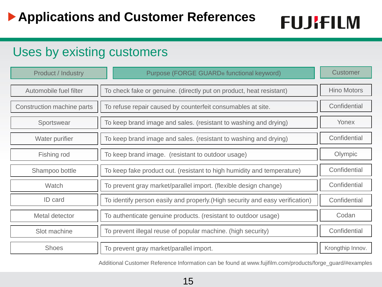#### Uses by existing customers

| <b>Product / Industry</b>  | Purpose (FORGE GUARD® functional keyword)                                     | Customer           |
|----------------------------|-------------------------------------------------------------------------------|--------------------|
| Automobile fuel filter     | To check fake or genuine. (directly put on product, heat resistant)           | <b>Hino Motors</b> |
| Construction machine parts | To refuse repair caused by counterfeit consumables at site.                   | Confidential       |
| Sportswear                 | To keep brand image and sales. (resistant to washing and drying)              | Yonex              |
| Water purifier             | To keep brand image and sales. (resistant to washing and drying)              | Confidential       |
| Fishing rod                | To keep brand image. (resistant to outdoor usage)                             | Olympic            |
| Shampoo bottle             | To keep fake product out. (resistant to high humidity and temperature)        | Confidential       |
| Watch                      | To prevent gray market/parallel import. (flexible design change)              | Confidential       |
| <b>ID</b> card             | To identify person easily and properly. (High security and easy verification) | Confidential       |
| Metal detector             | To authenticate genuine products. (resistant to outdoor usage)                | Codan              |
| Slot machine               | To prevent illegal reuse of popular machine. (high security)                  | Confidential       |
| <b>Shoes</b>               | To prevent gray market/parallel import.                                       | Krongthip Innov.   |

Additional Customer Reference Information can be found at www.fujifilm.com/products/forge\_guard/#examples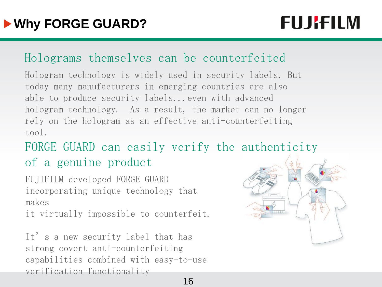## **FUJRFILM**

#### Holograms themselves can be counterfeited

Hologram technology is widely used in security labels. But today many manufacturers in emerging countries are also able to produce security labels...even with advanced hologram technology. As a result, the market can no longer rely on the hologram as an effective anti-counterfeiting tool.

FORGE GUARD can easily verify the authenticity of a genuine product

FUJIFILM developed FORGE GUARD incorporating unique technology that makes

it virtually impossible to counterfeit.

It's a new security label that has strong covert anti-counterfeiting capabilities combined with easy-to-use verification functionality

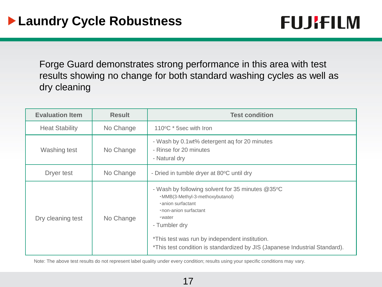

Forge Guard demonstrates strong performance in this area with test results showing no change for both standard washing cycles as well as dry cleaning

| <b>Evaluation Item</b> | <b>Result</b> | <b>Test condition</b>                                                                                                                                                                                                                                                                         |
|------------------------|---------------|-----------------------------------------------------------------------------------------------------------------------------------------------------------------------------------------------------------------------------------------------------------------------------------------------|
| <b>Heat Stability</b>  | No Change     | 110°C * 5sec with Iron                                                                                                                                                                                                                                                                        |
| Washing test           | No Change     | - Wash by 0.1 wt% detergent ag for 20 minutes<br>- Rinse for 20 minutes<br>- Natural dry                                                                                                                                                                                                      |
| Dryer test             | No Change     | - Dried in tumble dryer at 80°C until dry                                                                                                                                                                                                                                                     |
| Dry cleaning test      | No Change     | - Wash by following solvent for 35 minutes @35°C<br>·MMB(3-Methyl-3-methoxybutanol)<br>anion surfactant<br>. non-anion surfactant<br>•water<br>- Tumbler dry<br>*This test was run by independent institution.<br>*This test condition is standardized by JIS (Japanese Industrial Standard). |

Note: The above test results do not represent label quality under every condition; results using your specific conditions may vary.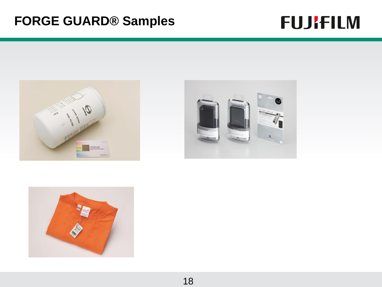### **FORGE GUARD® Samples**